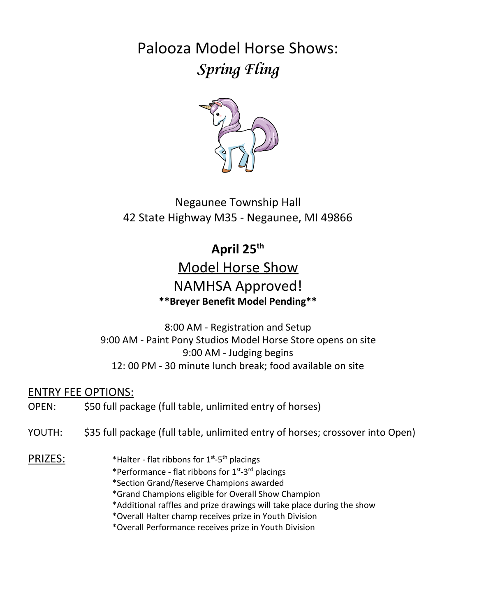Palooza Model Horse Shows: **Spring Fling**



Negaunee Township Hall 42 State Highway M35 - Negaunee, MI 49866

# **April 25th**

# Model Horse Show NAMHSA Approved! **\*\*Breyer Benefit Model Pending\*\***

8:00 AM - Registration and Setup 9:00 AM - Paint Pony Studios Model Horse Store opens on site 9:00 AM - Judging begins 12: 00 PM - 30 minute lunch break; food available on site

ENTRY FEE OPTIONS:

OPEN: \$50 full package (full table, unlimited entry of horses)

YOUTH: \$35 full package (full table, unlimited entry of horses; crossover into Open)

PRIZES: \*Halter - flat ribbons for 1st -5th placings

- \*Performance flat ribbons for 1<sup>st</sup>-3<sup>rd</sup> placings
- \*Section Grand/Reserve Champions awarded
- \*Grand Champions eligible for Overall Show Champion
- \*Additional raffles and prize drawings will take place during the show
- \*Overall Halter champ receives prize in Youth Division
- \*Overall Performance receives prize in Youth Division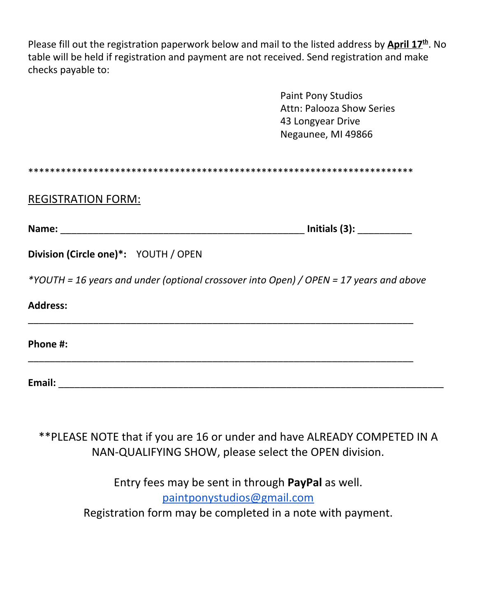Please fill out the registration paperwork below and mail to the listed address by *April 17*<sup>th</sup>. No table will be held if registration and payment are not received. Send registration and make checks payable to:

> Paint Pony Studios Attn: Palooza Show Series 43 Longyear Drive Negaunee, MI 49866

#### REGISTRATION FORM:

**Name:** \_\_\_\_\_\_\_\_\_\_\_\_\_\_\_\_\_\_\_\_\_\_\_\_\_\_\_\_\_\_\_\_\_\_\_\_\_\_\_\_\_\_\_\_\_ **Initials (3):** \_\_\_\_\_\_\_\_\_\_

| Division (Circle one)*: YOUTH / OPEN |  |
|--------------------------------------|--|
|--------------------------------------|--|

*\*YOUTH = 16 years and under (optional crossover into Open) / OPEN = 17 years and above*

\_\_\_\_\_\_\_\_\_\_\_\_\_\_\_\_\_\_\_\_\_\_\_\_\_\_\_\_\_\_\_\_\_\_\_\_\_\_\_\_\_\_\_\_\_\_\_\_\_\_\_\_\_\_\_\_\_\_\_\_\_\_\_\_\_\_\_\_\_\_\_

\_\_\_\_\_\_\_\_\_\_\_\_\_\_\_\_\_\_\_\_\_\_\_\_\_\_\_\_\_\_\_\_\_\_\_\_\_\_\_\_\_\_\_\_\_\_\_\_\_\_\_\_\_\_\_\_\_\_\_\_\_\_\_\_\_\_\_\_\_\_\_

#### **Address:**

**Phone #:**

**Email:** \_\_\_\_\_\_\_\_\_\_\_\_\_\_\_\_\_\_\_\_\_\_\_\_\_\_\_\_\_\_\_\_\_\_\_\_\_\_\_\_\_\_\_\_\_\_\_\_\_\_\_\_\_\_\_\_\_\_\_\_\_\_\_\_\_\_\_\_\_\_\_

\*\*PLEASE NOTE that if you are 16 or under and have ALREADY COMPETED IN A NAN-QUALIFYING SHOW, please select the OPEN division.

> Entry fees may be sent in through **PayPal** as well. [paintponystudios@gmail.com](mailto:paintponystudios@gmail.com) Registration form may be completed in a note with payment.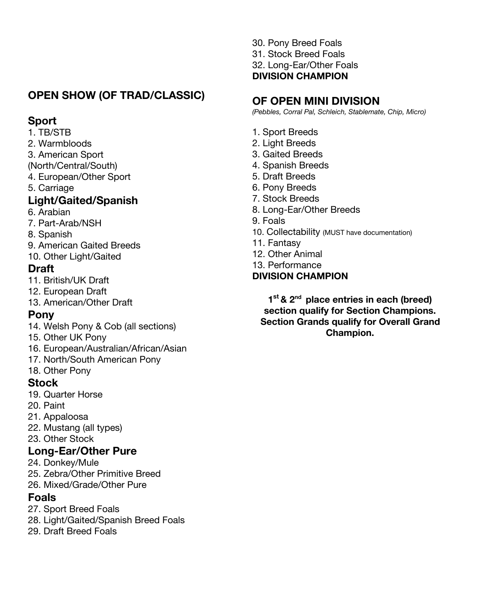### **OPEN SHOW (OF TRAD/CLASSIC)**

### **Sport**

1. TB/STB

- 2. Warmbloods
- 3. American Sport
- (North/Central/South)
- 4. European/Other Sport
- 5. Carriage

### **Light/Gaited/Spanish**

- 6. Arabian
- 7. Part-Arab/NSH
- 8. Spanish
- 9. American Gaited Breeds 10. Other Light/Gaited

### **Draft**

- 11. British/UK Draft
- 12. European Draft
- 13. American/Other Draft

### **Pony**

- 14. Welsh Pony & Cob (all sections)
- 15. Other UK Pony
- 16. European/Australian/African/Asian
- 17. North/South American Pony

### 18. Other Pony

- **Stock**
- 19. Quarter Horse
- 20. Paint
- 21. Appaloosa
- 22. Mustang (all types)
- 23. Other Stock

### **Long-Ear/Other Pure**

- 24. Donkey/Mule
- 25. Zebra/Other Primitive Breed
- 26. Mixed/Grade/Other Pure

### **Foals**

- 27. Sport Breed Foals
- 28. Light/Gaited/Spanish Breed Foals
- 29. Draft Breed Foals

30. Pony Breed Foals 31. Stock Breed Foals 32. Long-Ear/Other Foals **DIVISION CHAMPION**

## **OF OPEN MINI DIVISION**

*(Pebbles, Corral Pal, Schleich, Stablemate, Chip, Micro)*

- 1. Sport Breeds
- 2. Light Breeds
- 3. Gaited Breeds
- 4. Spanish Breeds
- 5. Draft Breeds
- 6. Pony Breeds
- 7. Stock Breeds
- 8. Long-Ear/Other Breeds
- 9. Foals
- 10. Collectability (MUST have documentation)
- 11. Fantasy
- 12. Other Animal
- 13. Performance

### **DIVISION CHAMPION**

**1 st & 2nd place entries in each (breed) section qualify for Section Champions. Section Grands qualify for Overall Grand Champion.**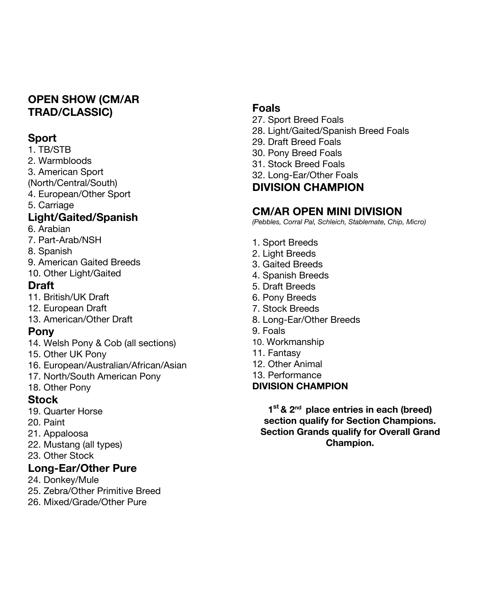### **OPEN SHOW (CM/AR TRAD/CLASSIC)**

### **Sport**

#### 1. TB/STB

- 2. Warmbloods
- 3. American Sport
- (North/Central/South)
- 4. European/Other Sport
- 5. Carriage

### **Light/Gaited/Spanish**

- 6. Arabian
- 7. Part-Arab/NSH
- 8. Spanish
- 9. American Gaited Breeds
- 10. Other Light/Gaited

### **Draft**

- 11. British/UK Draft
- 12. European Draft
- 13. American/Other Draft

### **Pony**

- 14. Welsh Pony & Cob (all sections)
- 15. Other UK Pony
- 16. European/Australian/African/Asian
- 17. North/South American Pony
- 18. Other Pony

### **Stock**

- 19. Quarter Horse
- 20. Paint
- 21. Appaloosa
- 22. Mustang (all types)
- 23. Other Stock

# **Long-Ear/Other Pure**

- 24. Donkey/Mule
- 25. Zebra/Other Primitive Breed
- 26. Mixed/Grade/Other Pure

### **Foals**

- 27. Sport Breed Foals
- 28. Light/Gaited/Spanish Breed Foals
- 29. Draft Breed Foals
- 30. Pony Breed Foals
- 31. Stock Breed Foals
- 32. Long-Ear/Other Foals

# **DIVISION CHAMPION**

# **CM/AR OPEN MINI DIVISION**

*(Pebbles, Corral Pal, Schleich, Stablemate, Chip, Micro)*

- 1. Sport Breeds
- 2. Light Breeds
- 3. Gaited Breeds
- 4. Spanish Breeds
- 5. Draft Breeds
- 6. Pony Breeds
- 7. Stock Breeds
- 8. Long-Ear/Other Breeds
- 9. Foals
- 10. Workmanship
- 11. Fantasy
- 12. Other Animal
- 13. Performance

### **DIVISION CHAMPION**

**1 st & 2nd place entries in each (breed) section qualify for Section Champions. Section Grands qualify for Overall Grand Champion.**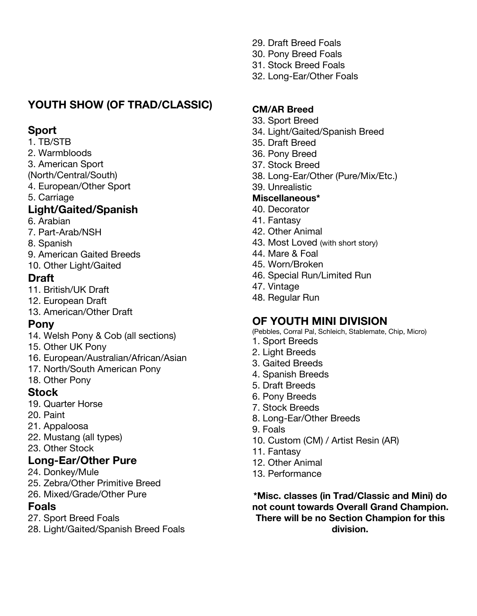# **YOUTH SHOW (OF TRAD/CLASSIC)**

### **Sport**

- 1. TB/STB
- 2. Warmbloods
- 3. American Sport
- (North/Central/South)
- 4. European/Other Sport
- 5. Carriage

### **Light/Gaited/Spanish**

- 6. Arabian
- 7. Part-Arab/NSH
- 8. Spanish
- 9. American Gaited Breeds
- 10. Other Light/Gaited

### **Draft**

- 11. British/UK Draft
- 12. European Draft
- 13. American/Other Draft

### **Pony**

- 14. Welsh Pony & Cob (all sections)
- 15. Other UK Pony
- 16. European/Australian/African/Asian
- 17. North/South American Pony
- 18. Other Pony

### **Stock**

- 19. Quarter Horse
- 20. Paint
- 21. Appaloosa
- 22. Mustang (all types)
- 23. Other Stock

### **Long-Ear/Other Pure**

- 24. Donkey/Mule
- 25. Zebra/Other Primitive Breed
- 26. Mixed/Grade/Other Pure

### **Foals**

- 27. Sport Breed Foals
- 28. Light/Gaited/Spanish Breed Foals
- 29. Draft Breed Foals
- 30. Pony Breed Foals
- 31. Stock Breed Foals
- 32. Long-Ear/Other Foals

### **CM/AR Breed**

- 33. Sport Breed
- 34. Light/Gaited/Spanish Breed
- 35. Draft Breed
- 36. Pony Breed
- 37. Stock Breed
- 38. Long-Ear/Other (Pure/Mix/Etc.)
- 39. Unrealistic

### **Miscellaneous\***

- 40. Decorator
- 41. Fantasy
- 42. Other Animal
- 43. Most Loved (with short story)
- 44. Mare & Foal
- 45. Worn/Broken
- 46. Special Run/Limited Run
- 47. Vintage
- 48. Regular Run

### **OF YOUTH MINI DIVISION**

- (Pebbles, Corral Pal, Schleich, Stablemate, Chip, Micro)
- 1. Sport Breeds
- 2. Light Breeds
- 3. Gaited Breeds
- 4. Spanish Breeds
- 5. Draft Breeds
- 6. Pony Breeds
- 7. Stock Breeds
- 8. Long-Ear/Other Breeds
- 9. Foals
- 10. Custom (CM) / Artist Resin (AR)
- 11. Fantasy
- 12. Other Animal
- 13. Performance

**\*Misc. classes (in Trad/Classic and Mini) do not count towards Overall Grand Champion. There will be no Section Champion for this division.**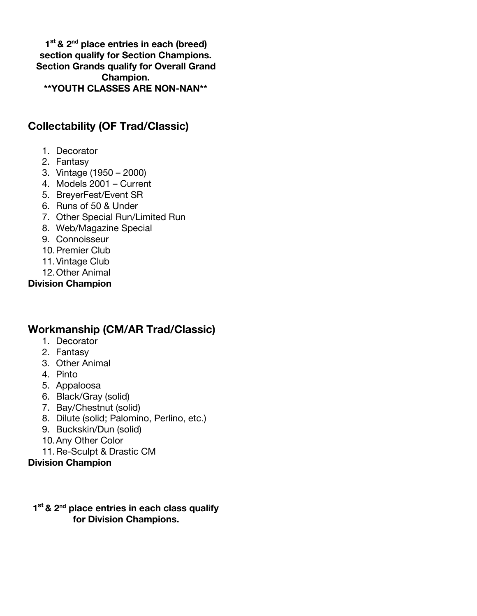**1 st & 2nd place entries in each (breed) section qualify for Section Champions. Section Grands qualify for Overall Grand Champion. \*\*YOUTH CLASSES ARE NON-NAN\*\***

### **Collectability (OF Trad/Classic)**

- 1. Decorator
- 2. Fantasy
- 3. Vintage (1950 2000)
- 4. Models 2001 Current
- 5. BreyerFest/Event SR
- 6. Runs of 50 & Under
- 7. Other Special Run/Limited Run
- 8. Web/Magazine Special
- 9. Connoisseur
- 10.Premier Club
- 11.Vintage Club
- 12.Other Animal

**Division Champion**

### **Workmanship (CM/AR Trad/Classic)**

- 1. Decorator
- 2. Fantasy
- 3. Other Animal
- 4. Pinto
- 5. Appaloosa
- 6. Black/Gray (solid)
- 7. Bay/Chestnut (solid)
- 8. Dilute (solid; Palomino, Perlino, etc.)
- 9. Buckskin/Dun (solid)
- 10.Any Other Color
- 11.Re-Sculpt & Drastic CM

#### **Division Champion**

#### **1 st & 2nd place entries in each class qualify for Division Champions.**